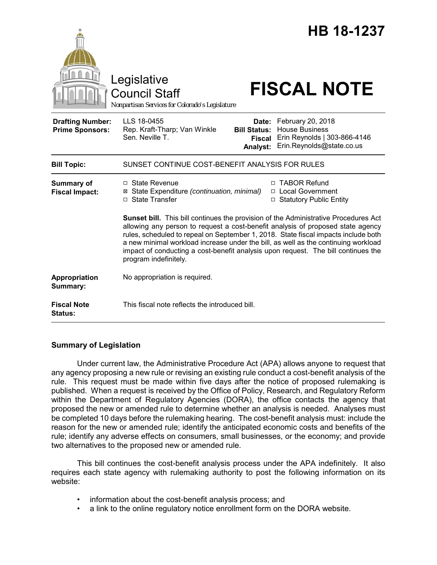|                                                   | Legislative<br><b>Council Staff</b><br>Nonpartisan Services for Colorado's Legislature                                                                                                                                                                                                                                                                                                                                                                                                                                                                 |                                                    | HB 18-1237<br><b>FISCAL NOTE</b>                                                                        |
|---------------------------------------------------|--------------------------------------------------------------------------------------------------------------------------------------------------------------------------------------------------------------------------------------------------------------------------------------------------------------------------------------------------------------------------------------------------------------------------------------------------------------------------------------------------------------------------------------------------------|----------------------------------------------------|---------------------------------------------------------------------------------------------------------|
| <b>Drafting Number:</b><br><b>Prime Sponsors:</b> | LLS 18-0455<br>Rep. Kraft-Tharp; Van Winkle<br>Sen. Neville T.                                                                                                                                                                                                                                                                                                                                                                                                                                                                                         | Date:<br><b>Bill Status:</b><br>Fiscal<br>Analyst: | February 20, 2018<br><b>House Business</b><br>Erin Reynolds   303-866-4146<br>Erin.Reynolds@state.co.us |
| <b>Bill Topic:</b>                                | SUNSET CONTINUE COST-BENEFIT ANALYSIS FOR RULES                                                                                                                                                                                                                                                                                                                                                                                                                                                                                                        |                                                    |                                                                                                         |
| <b>Summary of</b><br><b>Fiscal Impact:</b>        | □ State Revenue<br>⊠ State Expenditure (continuation, minimal)<br>□ State Transfer<br>Sunset bill. This bill continues the provision of the Administrative Procedures Act<br>allowing any person to request a cost-benefit analysis of proposed state agency<br>rules, scheduled to repeal on September 1, 2018. State fiscal impacts include both<br>a new minimal workload increase under the bill, as well as the continuing workload<br>impact of conducting a cost-benefit analysis upon request. The bill continues the<br>program indefinitely. | П.                                                 | <b>TABOR Refund</b><br>□ Local Government<br>□ Statutory Public Entity                                  |
| Appropriation<br>Summary:                         | No appropriation is required.                                                                                                                                                                                                                                                                                                                                                                                                                                                                                                                          |                                                    |                                                                                                         |
| <b>Fiscal Note</b><br><b>Status:</b>              | This fiscal note reflects the introduced bill.                                                                                                                                                                                                                                                                                                                                                                                                                                                                                                         |                                                    |                                                                                                         |

# **Summary of Legislation**

Under current law, the Administrative Procedure Act (APA) allows anyone to request that any agency proposing a new rule or revising an existing rule conduct a cost-benefit analysis of the rule. This request must be made within five days after the notice of proposed rulemaking is published. When a request is received by the Office of Policy, Research, and Regulatory Reform within the Department of Regulatory Agencies (DORA), the office contacts the agency that proposed the new or amended rule to determine whether an analysis is needed. Analyses must be completed 10 days before the rulemaking hearing. The cost-benefit analysis must: include the reason for the new or amended rule; identify the anticipated economic costs and benefits of the rule; identify any adverse effects on consumers, small businesses, or the economy; and provide two alternatives to the proposed new or amended rule.

This bill continues the cost-benefit analysis process under the APA indefinitely. It also requires each state agency with rulemaking authority to post the following information on its website:

- information about the cost-benefit analysis process; and
- a link to the online regulatory notice enrollment form on the DORA website.